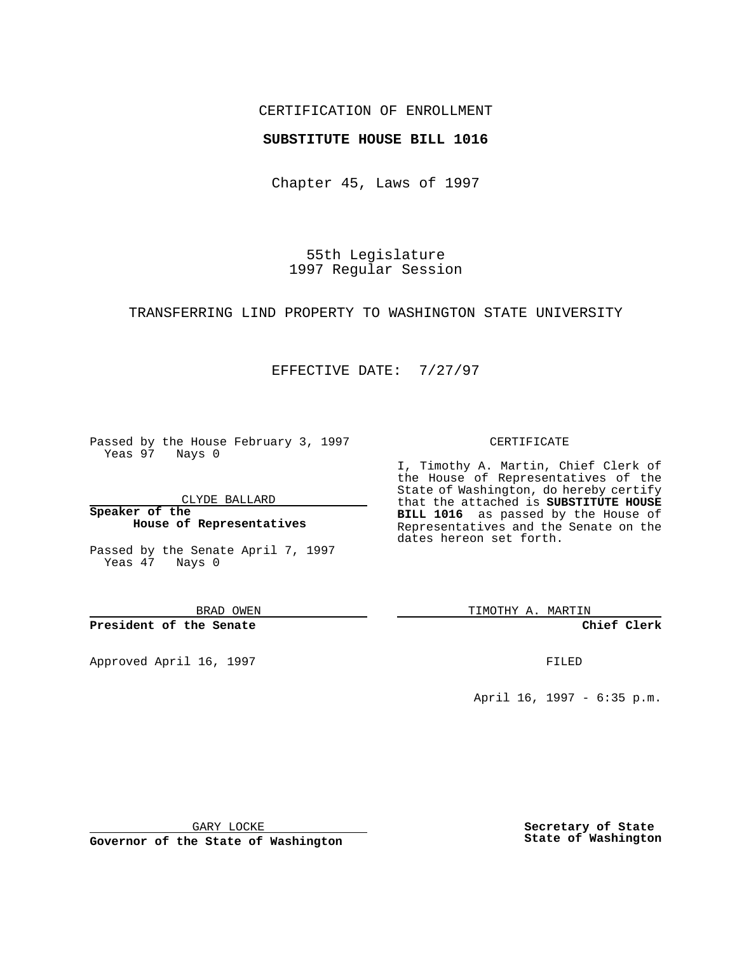### CERTIFICATION OF ENROLLMENT

### **SUBSTITUTE HOUSE BILL 1016**

Chapter 45, Laws of 1997

55th Legislature 1997 Regular Session

#### TRANSFERRING LIND PROPERTY TO WASHINGTON STATE UNIVERSITY

### EFFECTIVE DATE: 7/27/97

Passed by the House February 3, 1997 Yeas 97 Nays 0

CLYDE BALLARD

**Speaker of the House of Representatives**

Passed by the Senate April 7, 1997 Yeas 47 Nays 0

BRAD OWEN

**President of the Senate**

Approved April 16, 1997 **FILED** 

#### CERTIFICATE

I, Timothy A. Martin, Chief Clerk of the House of Representatives of the State of Washington, do hereby certify that the attached is **SUBSTITUTE HOUSE BILL 1016** as passed by the House of Representatives and the Senate on the dates hereon set forth.

TIMOTHY A. MARTIN

**Chief Clerk**

April 16, 1997 - 6:35 p.m.

GARY LOCKE

**Governor of the State of Washington**

**Secretary of State State of Washington**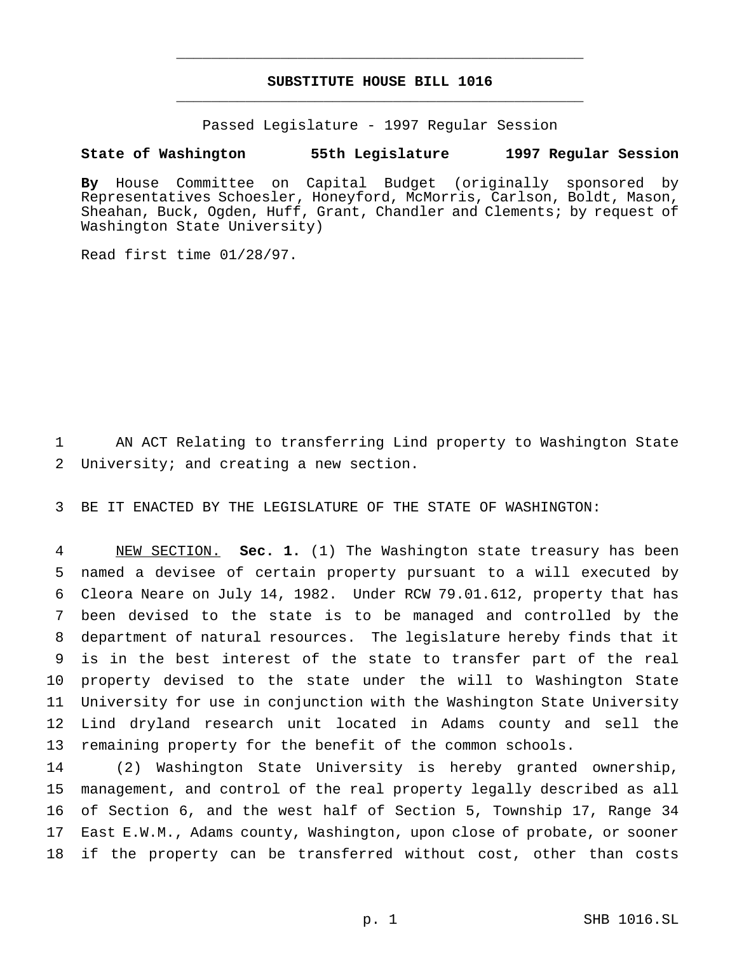# **SUBSTITUTE HOUSE BILL 1016** \_\_\_\_\_\_\_\_\_\_\_\_\_\_\_\_\_\_\_\_\_\_\_\_\_\_\_\_\_\_\_\_\_\_\_\_\_\_\_\_\_\_\_\_\_\_\_

\_\_\_\_\_\_\_\_\_\_\_\_\_\_\_\_\_\_\_\_\_\_\_\_\_\_\_\_\_\_\_\_\_\_\_\_\_\_\_\_\_\_\_\_\_\_\_

Passed Legislature - 1997 Regular Session

## **State of Washington 55th Legislature 1997 Regular Session**

**By** House Committee on Capital Budget (originally sponsored by Representatives Schoesler, Honeyford, McMorris, Carlson, Boldt, Mason, Sheahan, Buck, Ogden, Huff, Grant, Chandler and Clements; by request of Washington State University)

Read first time 01/28/97.

 AN ACT Relating to transferring Lind property to Washington State University; and creating a new section.

BE IT ENACTED BY THE LEGISLATURE OF THE STATE OF WASHINGTON:

 NEW SECTION. **Sec. 1.** (1) The Washington state treasury has been named a devisee of certain property pursuant to a will executed by Cleora Neare on July 14, 1982. Under RCW 79.01.612, property that has been devised to the state is to be managed and controlled by the department of natural resources. The legislature hereby finds that it is in the best interest of the state to transfer part of the real property devised to the state under the will to Washington State University for use in conjunction with the Washington State University Lind dryland research unit located in Adams county and sell the remaining property for the benefit of the common schools.

 (2) Washington State University is hereby granted ownership, management, and control of the real property legally described as all of Section 6, and the west half of Section 5, Township 17, Range 34 East E.W.M., Adams county, Washington, upon close of probate, or sooner if the property can be transferred without cost, other than costs